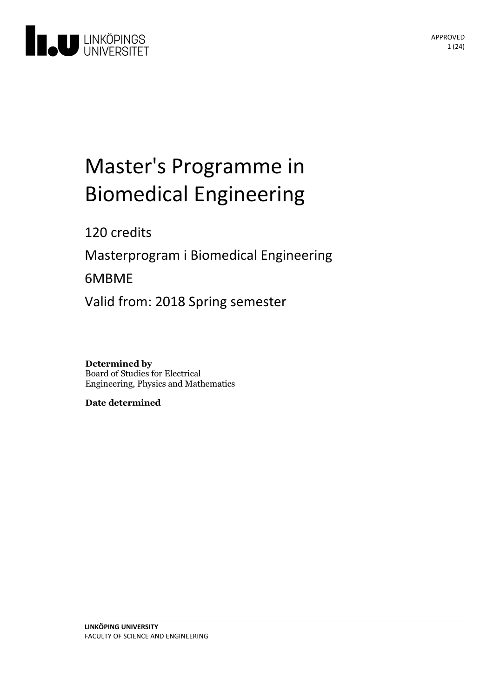

# Master's Programme in **Biomedical Engineering**

120 credits

Masterprogram i Biomedical Engineering

6MBME

Valid from: 2018 Spring semester

**Determined by** Board of Studies for Electrical Engineering, Physics and Mathematics

**Date determined**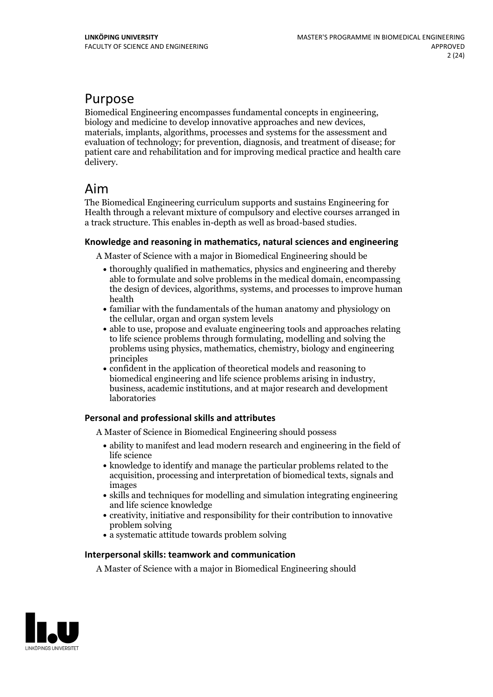## Purpose

Biomedical Engineering encompasses fundamental concepts in engineering, biology and medicine to develop innovative approaches and new devices, materials, implants, algorithms, processes and systems for the assessment and evaluation of technology; for prevention, diagnosis, and treatment of disease; for patient care and rehabilitation and for improving medical practice and health care delivery.

## Aim

The Biomedical Engineering curriculum supports and sustains Engineering for Health through a relevant mixture of compulsory and elective courses arranged in a track structure. This enables in-depth as well as broad-based studies.

### **Knowledge and reasoningin mathematics, natural sciences and engineering**

A Master of Science with a major in Biomedical Engineering should be

- thoroughly qualified in mathematics, physics and engineering and thereby able to formulate and solve problems in the medical domain, encompassing the design of devices, algorithms, systems, and processes to improve human health
- familiar with the fundamentals of the human anatomy and physiology on the cellular, organ and organ system levels
- able to use, propose and evaluate engineering tools and approaches relating to life science problems through formulating, modelling and solving the problems using physics, mathematics, chemistry, biology and engineering principles
- confident in the application of theoretical models and reasoning to business, academic institutions, and at major research and development laboratories

## **Personal and professional skills and attributes**

A Master of Science in Biomedical Engineering should possess

- ability to manifest and lead modern research and engineering in the field of life science
- knowledge to identify and manage the particular problems related to the acquisition, processing and interpretation of biomedical texts, signals and images
- skills and techniques for modelling and simulation integrating engineering and life science knowledge
- creativity, initiative and responsibility for their contribution to innovative problem solving
- a systematic attitude towards problem solving

### **Interpersonal skills: teamwork and communication**

A Master of Science with a major in Biomedical Engineering should

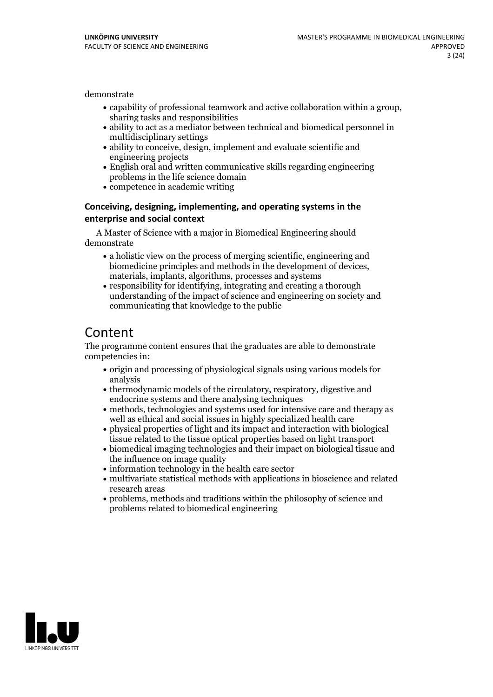demonstrate

- capability of professional teamwork and active collaboration within <sup>a</sup> group, sharing tasks and responsibilities
- ability to act as a mediator between technical and biomedical personnel in multidisciplinary settings
- ability to conceive, design, implement and evaluate scientific and engineering projects
- English oral and written communicative skills regarding engineering problems in the life science domain
- competence in academic writing

### **Conceiving, designing, implementing, and operatingsystems in the enterprise and social context**

A Master of Science with a major in Biomedical Engineering should demonstrate

- a holistic view on the process of merging scientific, engineering and biomedicine principles and methods in the development of devices, materials, implants, algorithms, processes and systems
- responsibility for identifying, integrating and creating a thorough understanding of the impact of science and engineering on society and communicating that knowledge to the public

## Content

The programme content ensures that the graduates are able to demonstrate competencies in:

- origin and processing of physiological signals using various models for analysis
- thermodynamic models of the circulatory, respiratory, digestive and endocrine systems and there analysing techniques
- methods, technologies and systems used for intensive care and therapy as well as ethical and social issues in highly specialized health care
- physical properties of light and its impact and interaction with biological tissue related to the tissue optical properties based on light transport
- biomedical imaging technologies and their impact on biological tissue and the influence on image quality
- information technology in the health care sector
- multivariate statistical methods with applications in bioscience and related research areas
- problems, methods and traditions within the philosophy of science and problems related to biomedical engineering

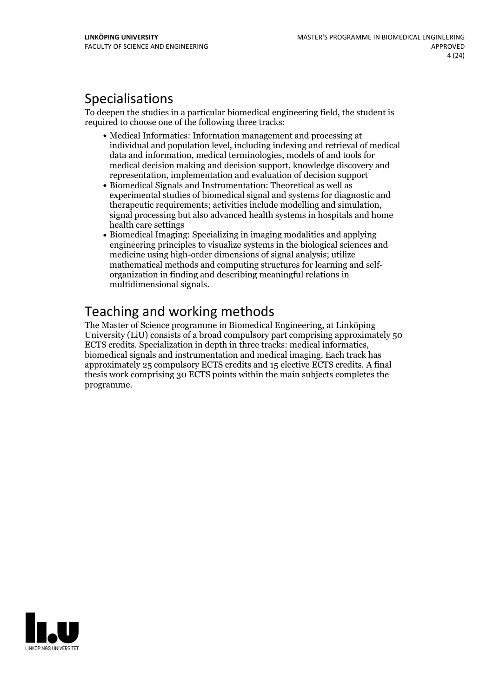## Specialisations

To deepen the studies in a particular biomedical engineering field, the student is required to choose one of the following three tracks:

- Medical Informatics: Information management and processing at individual and population level, including indexing and retrieval of medical data and information, medical terminologies, models of and tools for medical decision making and decision support, knowledge discovery and representation, implementation and evaluation of decision support
- Biomedical Signals and Instrumentation: Theoretical as well as experimental studies of biomedical signal and systems for diagnostic and signal processing but also advanced health systems in hospitals and home health care settings
- Biomedical Imaging: Specializing in imaging modalities and applying engineering principles to visualize systems in the biological sciences and medicine using high-order dimensions of signal analysis; utilize mathematical methods and computing structures for learning and self- organization in finding and describing meaningful relations in multidimensional signals.

## Teaching and working methods

The Master of Science programme in Biomedical Engineering, at Linköping University (LiU) consists of a broad compulsory part comprising approximately 50 ECTS credits. Specialization in depth in three tracks: medical informatics, biomedical signals and instrumentation and medical imaging. Each track has approximately 25 compulsory ECTS credits and 15 elective ECTS credits. A final thesis work comprising 30 ECTS points within the main subjects completes the programme.

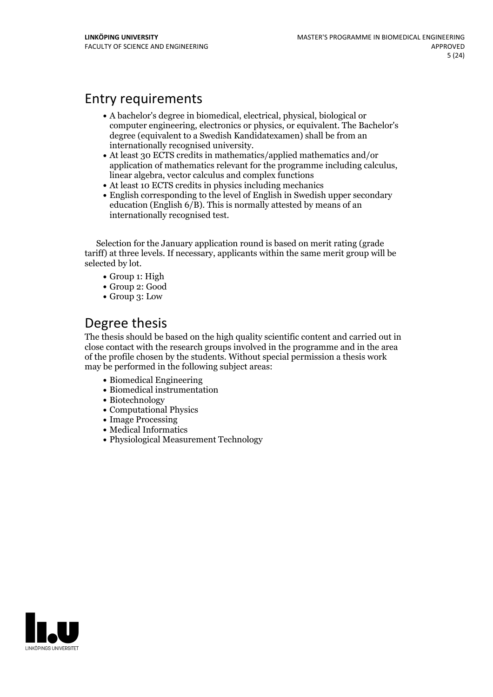## Entry requirements

- A bachelor's degree in biomedical, electrical, physical, biological or computer engineering, electronics or physics, or equivalent. The Bachelor's degree (equivalent to a Swedish Kandidatexamen) shall be from an
- internationally recognised university. At least <sup>30</sup> ECTS credits in mathematics/applied mathematics and/or application of mathematics relevant for the programme including calculus, linear algebra, vector calculus and complex functions
- At least 10 ECTS credits in physics including mechanics
- English corresponding to the level of English in Swedish upper secondary education (English  $6/B$ ). This is normally attested by means of an internationally recognised test.

Selection for the January application round is based on merit rating (grade tariff) at three levels. If necessary, applicants within the same merit group will be selected by lot.

- Group 1: High
- Group 2: Good
- Group 3: Low

## Degree thesis

The thesis should be based on the high quality scientific content and carried outin close contact with the research groups involved in the programme and in the area of the profile chosen by the students. Without special permission a thesis work may be performed in the following subject areas:

- Biomedical Engineering
- Biomedical instrumentation
- Biotechnology
- Computational Physics
- Image Processing
- Medical Informatics
- Physiological Measurement Technology

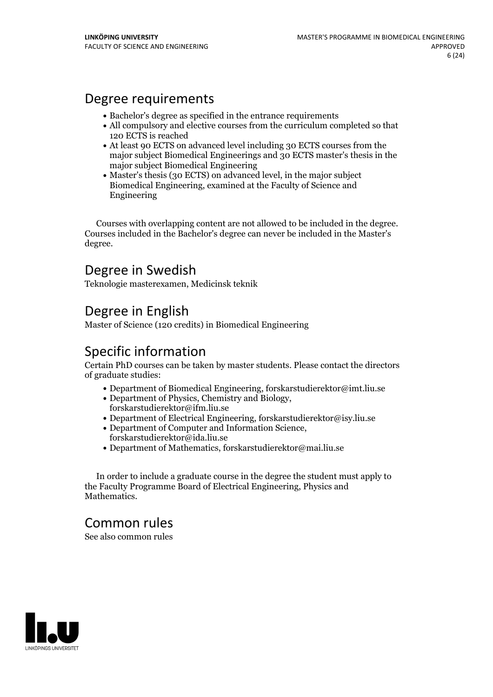## Degree requirements

- Bachelor's degree as specified in the entrance requirements
- All compulsory and elective courses from the curriculum completed so that 120 ECTS isreached
- At least 90 ECTS on advanced level including 30 ECTS courses from the major subject Biomedical Engineerings and 30 ECTS master's thesis in the major subject Biomedical Engineering
- Master's thesis (30 ECTS) on advanced level, in the major subject Biomedical Engineering, examined at the Faculty of Science and Engineering

Courses with overlapping content are not allowed to be included in the degree. Courses included in the Bachelor's degree can never be included in the Master's degree.

## Degree in Swedish

Teknologie masterexamen, Medicinsk teknik

## Degree in English

Master of Science (120 credits) in Biomedical Engineering

## Specific information

Certain PhD courses can be taken by master students. Please contact the directors of graduate studies:

- Department of Biomedical Engineering, forskarstudierektor@imt.liu.se
- Department of Physics, Chemistry and Biology, forskarstudierektor@ifm.liu.se
- Department of Electrical Engineering, forskarstudierektor@isy.liu.se
- Department of Computer and Information Science, forskarstudierektor@ida.liu.se
- Department of Mathematics, forskarstudierektor@mai.liu.se

In order to include a graduate course in the degree the student must apply to the Faculty Programme Board of Electrical Engineering, Physics and **Mathematics** 

## Common rules

See also common rules

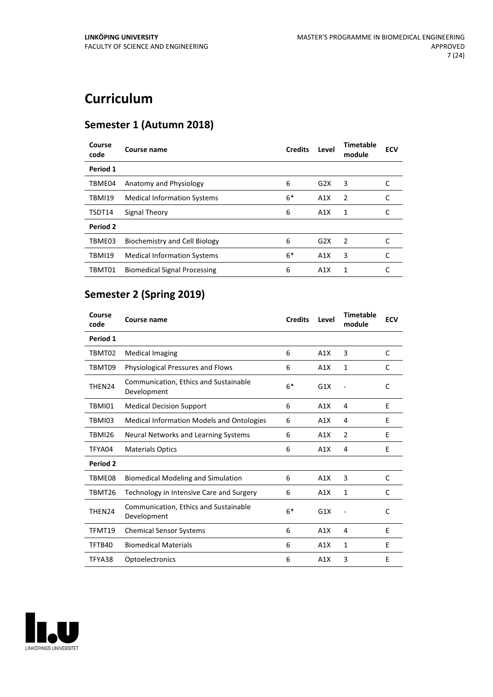## **Curriculum**

## **Semester 1 (Autumn 2018)**

| Course<br>code | Course name                         | <b>Credits</b> | Level | <b>Timetable</b><br>module | <b>ECV</b> |
|----------------|-------------------------------------|----------------|-------|----------------------------|------------|
| Period 1       |                                     |                |       |                            |            |
| TBME04         | Anatomy and Physiology              | 6              | G2X   | 3                          |            |
| <b>TBMI19</b>  | <b>Medical Information Systems</b>  | $6*$           | A1X   | $\overline{2}$             |            |
| TSDT14         | Signal Theory                       | 6              | A1X   | 1                          |            |
| Period 2       |                                     |                |       |                            |            |
| TBME03         | Biochemistry and Cell Biology       | 6              | G2X   | $\mathcal{P}$              |            |
| <b>TBMI19</b>  | <b>Medical Information Systems</b>  | $6*$           | A1X   | 3                          | C          |
| TBMT01         | <b>Biomedical Signal Processing</b> | 6              | A1X   | 1                          |            |

## **Semester 2 (Spring 2019)**

| Course<br>code | Course name                                          | <b>Credits</b> | Level | <b>Timetable</b><br>module | <b>ECV</b> |
|----------------|------------------------------------------------------|----------------|-------|----------------------------|------------|
| Period 1       |                                                      |                |       |                            |            |
| TBMT02         | <b>Medical Imaging</b>                               | 6              | A1X   | 3                          | C          |
| TBMT09         | Physiological Pressures and Flows                    | 6              | A1X   | $\mathbf{1}$               | C          |
| THEN24         | Communication, Ethics and Sustainable<br>Development | $6*$           | G1X   |                            | C          |
| TBMI01         | <b>Medical Decision Support</b>                      | 6              | A1X   | 4                          | E          |
| TBMI03         | <b>Medical Information Models and Ontologies</b>     | 6              | A1X   | 4                          | E          |
| <b>TBMI26</b>  | Neural Networks and Learning Systems                 | 6              | A1X   | $\overline{2}$             | E          |
| TFYA04         | <b>Materials Optics</b>                              | 6              | A1X   | 4                          | E          |
| Period 2       |                                                      |                |       |                            |            |
| TBME08         | <b>Biomedical Modeling and Simulation</b>            | 6              | A1X   | 3                          | C          |
| TBMT26         | Technology in Intensive Care and Surgery             | 6              | A1X   | 1                          | C          |
| THEN24         | Communication, Ethics and Sustainable<br>Development | $6*$           | G1X   |                            | C          |
| TFMT19         | <b>Chemical Sensor Systems</b>                       | 6              | A1X   | 4                          | E          |
| TFTB40         | <b>Biomedical Materials</b>                          | 6              | A1X   | $\mathbf{1}$               | E          |
| TFYA38         | Optoelectronics                                      | 6              | A1X   | 3                          | Ε          |

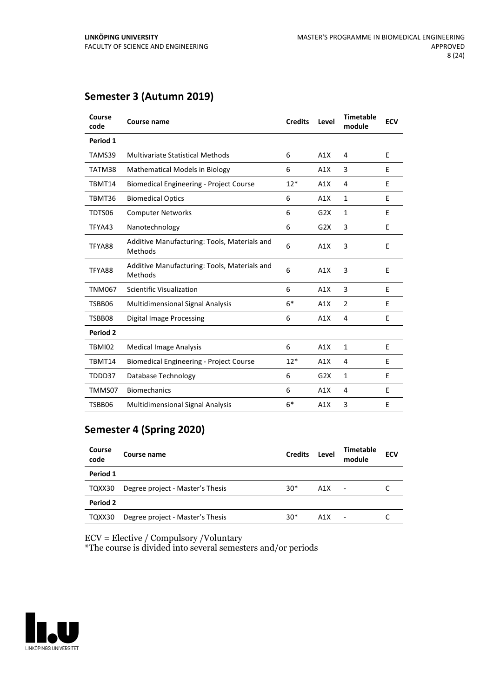## **Semester 3 (Autumn 2019)**

| Course<br>code | Course name                                             | <b>Credits</b> | Level | <b>Timetable</b><br>module | <b>ECV</b> |
|----------------|---------------------------------------------------------|----------------|-------|----------------------------|------------|
| Period 1       |                                                         |                |       |                            |            |
| TAMS39         | <b>Multivariate Statistical Methods</b>                 | 6              | A1X   | 4                          | E          |
| TATM38         | Mathematical Models in Biology                          | 6              | A1X   | 3                          | E          |
| TBMT14         | <b>Biomedical Engineering - Project Course</b>          | $12*$          | A1X   | 4                          | E          |
| TBMT36         | <b>Biomedical Optics</b>                                | 6              | A1X   | 1                          | E          |
| TDTS06         | <b>Computer Networks</b>                                | 6              | G2X   | $\mathbf{1}$               | E          |
| TFYA43         | Nanotechnology                                          | 6              | G2X   | 3                          | E          |
| TFYA88         | Additive Manufacturing: Tools, Materials and<br>Methods | 6              | A1X   | 3                          | E          |
| TFYA88         | Additive Manufacturing: Tools, Materials and<br>Methods | 6              | A1X   | 3                          | E          |
| <b>TNM067</b>  | Scientific Visualization                                | 6              | A1X   | 3                          | E          |
| TSBB06         | <b>Multidimensional Signal Analysis</b>                 | $6*$           | A1X   | $\overline{2}$             | E          |
| TSBB08         | <b>Digital Image Processing</b>                         | 6              | A1X   | 4                          | E          |
| Period 2       |                                                         |                |       |                            |            |
| TBMI02         | <b>Medical Image Analysis</b>                           | 6              | A1X   | $\mathbf{1}$               | E          |
| TBMT14         | <b>Biomedical Engineering - Project Course</b>          | $12*$          | A1X   | 4                          | E          |
| TDDD37         | Database Technology                                     | 6              | G2X   | $\mathbf{1}$               | E          |
| TMMS07         | <b>Biomechanics</b>                                     | 6              | A1X   | 4                          | E          |
| TSBB06         | <b>Multidimensional Signal Analysis</b>                 | $6*$           | A1X   | 3                          | E          |

## **Semester 4 (Spring 2020)**

| Course<br>code | Course name                      | <b>Credits</b> | Level | Timetable<br>module      | <b>ECV</b> |  |
|----------------|----------------------------------|----------------|-------|--------------------------|------------|--|
| Period 1       |                                  |                |       |                          |            |  |
| TQXX30         | Degree project - Master's Thesis | $30*$          | A1X   | $\sim$                   |            |  |
| Period 2       |                                  |                |       |                          |            |  |
| TQXX30         | Degree project - Master's Thesis | $30*$          | A1X   | $\overline{\phantom{0}}$ |            |  |

ECV = Elective / Compulsory /Voluntary

\*The course is divided into several semesters and/or periods

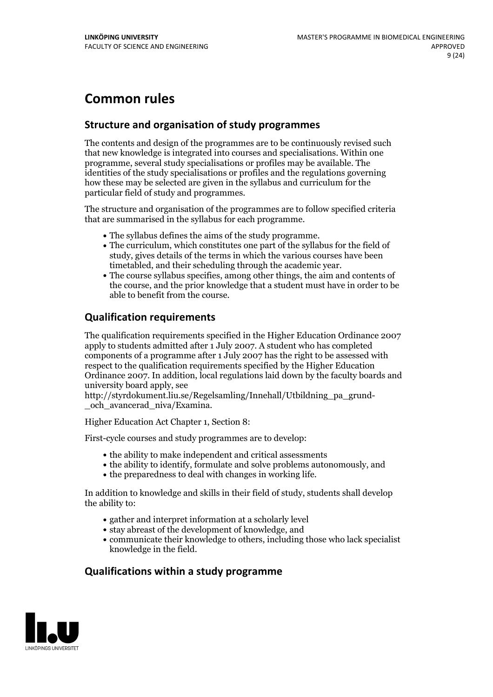## **Common rules**

## **Structure and organisation of study programmes**

The contents and design of the programmes are to be continuously revised such that new knowledge is integrated into courses and specialisations. Within one programme, several study specialisations or profiles may be available. The identities of the study specialisations or profiles and the regulations governing how these may be selected are given in the syllabus and curriculum for the particular field of study and programmes.

The structure and organisation of the programmes are to follow specified criteria that are summarised in the syllabus for each programme.

- 
- The syllabus defines the aims of the study programme.<br>• The curriculum, which constitutes one part of the syllabus for the field of study, gives details of the terms in which the various courses have been
- The course syllabus specifies, among other things, the aim and contents of the course, and the prior knowledge that a student must have in order to be able to benefit from the course.

## **Qualification requirements**

The qualification requirements specified in the Higher Education Ordinance 2007 apply to students admitted after 1 July 2007. A student who has completed components of a programme after 1 July 2007 has the right to be assessed with respect to the qualification requirements specified by the Higher Education Ordinance 2007. In addition, local regulations laid down by the faculty boards and university board apply, see

http://styrdokument.liu.se/Regelsamling/Innehall/Utbildning\_pa\_grund- \_och\_avancerad\_niva/Examina.

Higher Education Act Chapter 1, Section 8:

First-cycle courses and study programmes are to develop:

- $\bullet$  the ability to make independent and critical assessments
- the ability to identify, formulate and solve problems autonomously, and
- $\bullet$  the preparedness to deal with changes in working life.

In addition to knowledge and skills in their field of study, students shall develop the ability to:

- gather and interpret information at a scholarly level
- stay abreast of the development of knowledge, and
- communicate their knowledge to others, including those who lack specialist knowledge in the field.

## **Qualifications within a study programme**

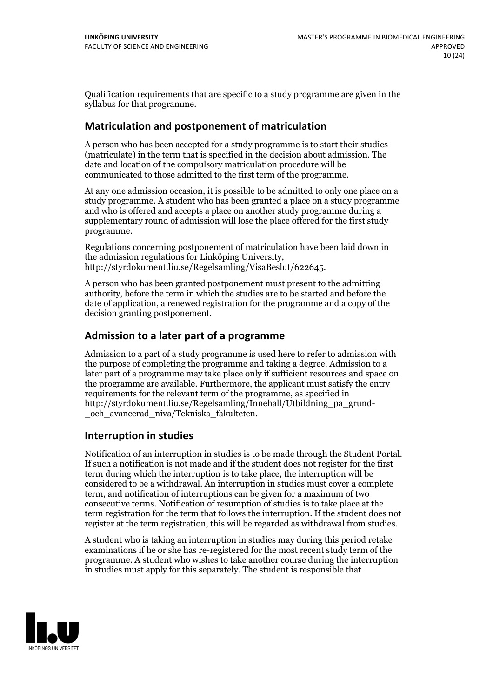Qualification requirements that are specific to a study programme are given in the syllabus for that programme.

## **Matriculation and postponement of matriculation**

A person who has been accepted for a study programme is to start their studies (matriculate) in the term that is specified in the decision about admission. The date and location of the compulsory matriculation procedure will be communicated to those admitted to the first term of the programme.

At any one admission occasion, it is possible to be admitted to only one place on a study programme. A student who has been granted a place on a study programme and who is offered and accepts a place on another study programme during a supplementary round of admission will lose the place offered for the first study programme.

Regulations concerning postponement of matriculation have been laid down in the admission regulations for Linköping University, http://styrdokument.liu.se/Regelsamling/VisaBeslut/622645.

A person who has been granted postponement must present to the admitting authority, before the term in which the studies are to be started and before the date of application, a renewed registration for the programme and a copy of the decision granting postponement.

## **Admission to a later part of a programme**

Admission to a part of a study programme is used here to refer to admission with the purpose of completing the programme and taking a degree. Admission to a later part of a programme may take place only if sufficient resources and space on the programme are available. Furthermore, the applicant must satisfy the entry requirements for the relevant term of the programme, as specified in http://styrdokument.liu.se/Regelsamling/Innehall/Utbildning\_pa\_grund- \_och\_avancerad\_niva/Tekniska\_fakulteten.

## **Interruption in studies**

Notification of an interruption in studies is to be made through the Student Portal. If such <sup>a</sup> notification is not made and if the student does not register for the first term during which the interruption is to take place, the interruption will be considered to be a withdrawal. An interruption in studies must cover a complete term, and notification of interruptions can be given for a maximum of two consecutive terms. Notification of resumption of studies is to take place at the term registration for the term that follows the interruption. If the student does not register at the term registration, this will be regarded as withdrawal from studies.

A student who is taking an interruption in studies may during this period retake examinations if he or she has re-registered for the most recent study term of the programme. A student who wishes to take another course during the interruption in studies must apply for this separately. The student is responsible that

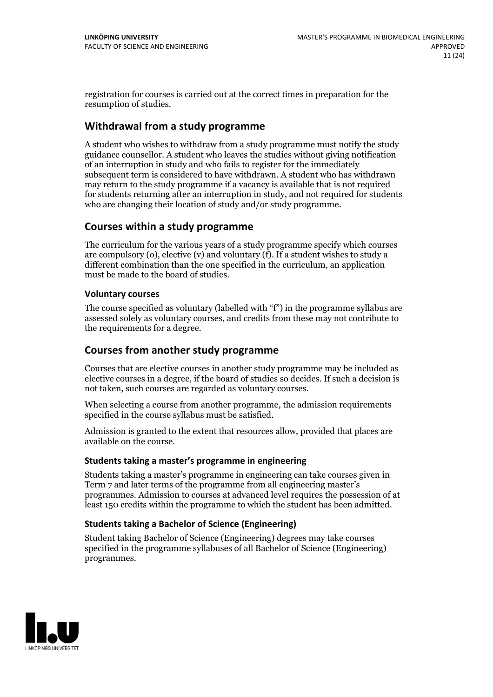registration for courses is carried outat the correct times in preparation for the resumption of studies.

## **Withdrawal from a study programme**

A student who wishes to withdraw from a study programme must notify the study guidance counsellor. A student who leaves the studies without giving notification of an interruption in study and who fails to register for the immediately subsequent term is considered to have withdrawn. A student who has withdrawn may return to the study programme if a vacancy is available that is not required for students returning after an interruption in study, and not required for students who are changing their location of study and/or study programme.

## **Courses within a study programme**

The curriculum for the various years of a study programme specify which courses are compulsory (o), elective (v) and voluntary (f). If a student wishes to study a different combination than the one specified in the curriculum, an application must be made to the board of studies.

### **Voluntarycourses**

The course specified as voluntary (labelled with "f") in the programme syllabus are assessed solely as voluntary courses, and credits from these may not contribute to the requirements for a degree.

## **Courses from another study programme**

Courses that are elective courses in another study programme may be included as elective courses in a degree, if the board of studies so decides. If such a decision is not taken, such courses are regarded as voluntary courses.

When selecting a course from another programme, the admission requirements specified in the course syllabus must be satisfied.

Admission is granted to the extent that resources allow, provided that places are available on the course.

### **Students taking a master's programme in engineering**

Students taking a master's programme in engineering can take courses given in Term 7 and later terms of the programme from all engineering master's programmes. Admission to courses at advanced level requires the possession of at least 150 credits within the programme to which the student has been admitted.

### **Students taking a Bachelor of Science (Engineering)**

Student taking Bachelor of Science (Engineering) degrees may take courses specified in the programme syllabuses of all Bachelor of Science (Engineering) programmes.

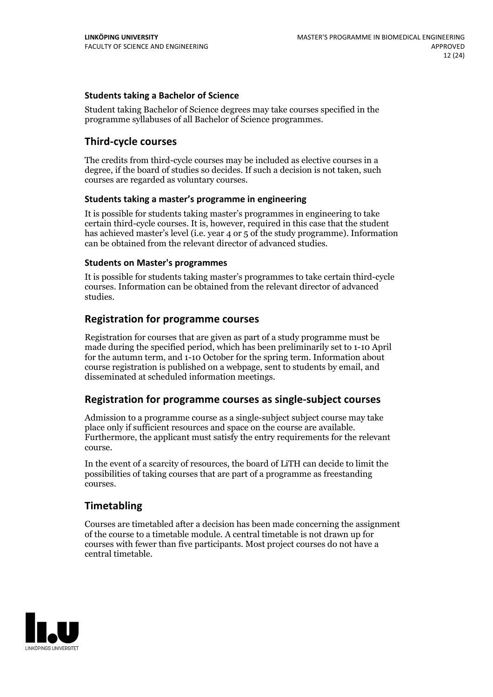### **Students taking a Bachelor of Science**

Student taking Bachelor of Science degrees may take courses specified in the programme syllabuses of all Bachelor of Science programmes.

## **Third-cycle courses**

The credits from third-cycle courses may be included as elective courses in a degree, if the board of studies so decides. If such a decision is not taken, such courses are regarded as voluntary courses.

### **Students taking a master's programme in engineering**

It is possible for students taking master's programmes in engineering to take certain third-cycle courses. It is, however, required in this case that the student has achieved master's level (i.e. year 4 or 5 of the study programme). Information can be obtained from the relevant director of advanced studies.

#### **Students on Master's programmes**

It is possible for students taking master's programmes to take certain third-cycle courses. Information can be obtained from the relevant director of advanced studies.

### **Registration for programme courses**

Registration for courses that are given as part of a study programme must be made during the specified period, which has been preliminarily set to 1-10 April for the autumn term, and 1-10 October for the spring term. Information about course registration is published on a webpage, sent to students by email, and disseminated at scheduled information meetings.

## **Registration for programme courses as single-subject courses**

Admission to a programme course as a single-subject subject course may take place only if sufficient resources and space on the course are available. Furthermore, the applicant must satisfy the entry requirements for the relevant course.

In the event of a scarcity of resources, the board of LiTH can decide to limit the possibilities of taking courses that are part of a programme as freestanding courses.

## **Timetabling**

Courses are timetabled after a decision has been made concerning the assignment of the course to a timetable module. A central timetable is not drawn up for courses with fewer than five participants. Most project courses do not have a central timetable.

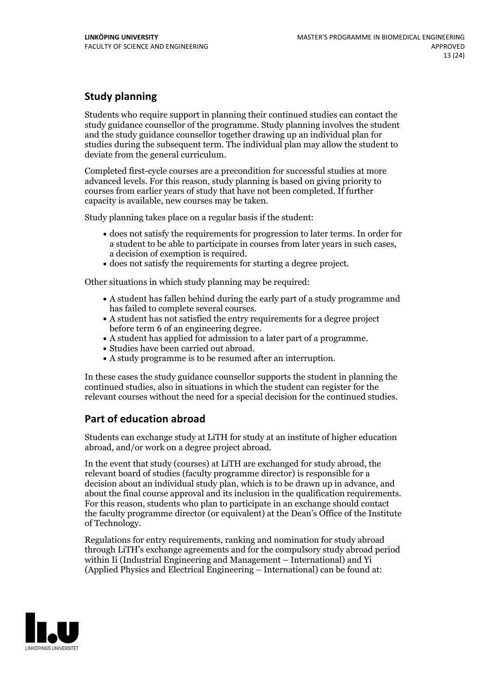## **Study planning**

Students who require support in planning their continued studies can contact the study guidance counsellor of the programme. Study planning involves the student and the study guidance counsellor together drawing up an individual plan for studies during the subsequent term. The individual plan may allow the student to deviate from the general curriculum.

Completed first-cycle courses are a precondition for successful studies at more advanced levels. For this reason, study planning is based on giving priority to courses from earlier years of study that have not been completed. If further capacity is available, new courses may be taken.

Study planning takes place on a regular basis if the student:

- does not satisfy the requirements for progression to later terms. In order for a student to be able to participate in courses from later years in such cases, a decision of exemption is required.<br>
• does not satisfy the requirements for starting a degree project.
- 

Other situations in which study planning may be required:

- A student has fallen behind during the early part of a study programme and has failed to complete several courses.<br>• A student has not satisfied the entry requirements for a degree project
- 
- before term 6 of an engineering degree.<br>• A student has applied for admission to a later part of a programme.<br>• Studies have been carried out abroad.<br>• A study programme is to be resumed after an interruption.
- 
- 

In these cases the study guidance counsellor supports the student in planning the continued studies, also in situations in which the student can register for the relevant courses without the need for a special decision for the continued studies.

## **Part of education abroad**

Students can exchange study at LiTH for study at an institute of higher education abroad, and/or work on a degree project abroad.

In the event that study (courses) at LiTH are exchanged for study abroad, the relevant board of studies (faculty programme director) is responsible for a decision about an individual study plan, which is to be drawn up in advance, and about the final course approval and its inclusion in the qualification requirements. For this reason, students who plan to participate in an exchange should contact the faculty programme director (or equivalent) at the Dean's Office ofthe Institute of Technology.

Regulations for entry requirements, ranking and nomination for study abroad through LiTH's exchange agreements and for the compulsory study abroad period within Ii (Industrial Engineering and Management – International) and Yi (Applied Physics and Electrical Engineering – International) can be found at:

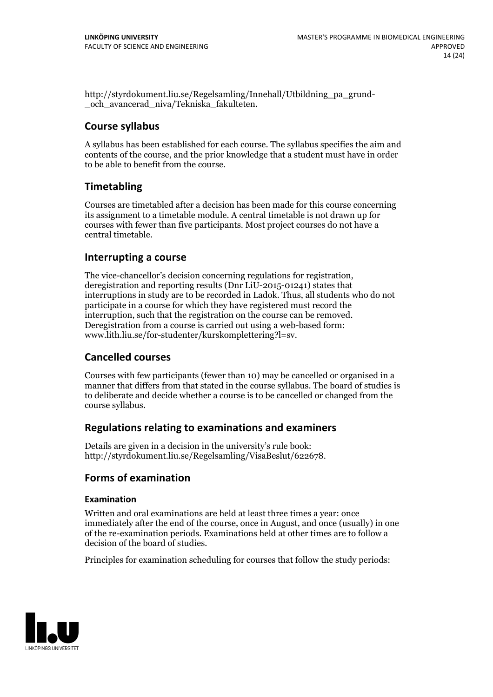http://styrdokument.liu.se/Regelsamling/Innehall/Utbildning\_pa\_grund- \_och\_avancerad\_niva/Tekniska\_fakulteten.

## **Course syllabus**

A syllabus has been established for each course. The syllabus specifies the aim and contents of the course, and the prior knowledge that a student must have in order to be able to benefit from the course.

## **Timetabling**

Courses are timetabled after a decision has been made for this course concerning its assignment to a timetable module. A central timetable is not drawn up for courses with fewer than five participants. Most project courses do not have a central timetable.

## **Interrupting a course**

The vice-chancellor's decision concerning regulations for registration, deregistration and reporting results (Dnr LiU-2015-01241) states that interruptions in study are to be recorded in Ladok. Thus, all students who do not participate in a course for which they have registered must record the interruption, such that the registration on the course can be removed. Deregistration from <sup>a</sup> course is carried outusing <sup>a</sup> web-based form: www.lith.liu.se/for-studenter/kurskomplettering?l=sv.

## **Cancelled courses**

Courses with few participants (fewer than 10) may be cancelled or organised in a manner that differs from that stated in the course syllabus. The board of studies is to deliberate and decide whether a course is to be cancelled orchanged from the course syllabus.

## **Regulations relatingto examinations and examiners**

Details are given in a decision in the university's rule book: http://styrdokument.liu.se/Regelsamling/VisaBeslut/622678.

## **Forms of examination**

### **Examination**

Written and oral examinations are held at least three times a year: once immediately after the end of the course, once in August, and once (usually) in one of the re-examination periods. Examinations held at other times are to follow a decision of the board of studies.

Principles for examination scheduling for courses that follow the study periods:

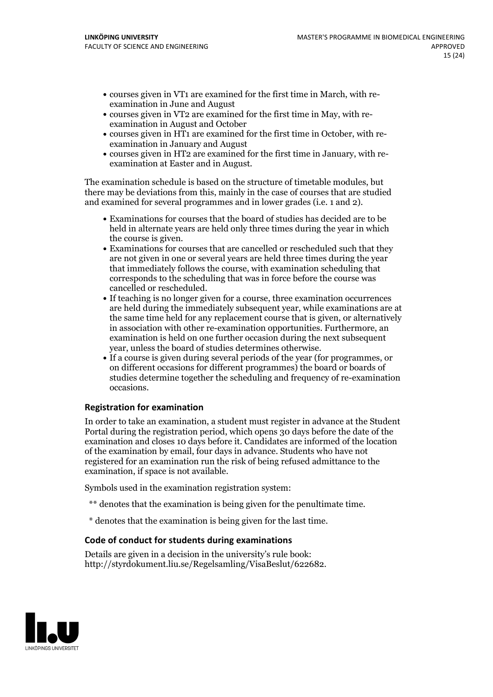- courses given in VT1 are examined for the first time in March, with re-examination in June and August
- courses given in VT2 are examined for the first time in May, with re-examination in August and October
- courses given in HT1 are examined for the first time in October, with re-examination in January and August
- courses given in HT2 are examined for the first time in January, with re-examination at Easter and in August.

The examination schedule is based on the structure of timetable modules, but there may be deviations from this, mainly in the case of courses that are studied and examined for several programmes and in lower grades (i.e. 1 and 2).

- Examinations for courses that the board of studies has decided are to be held in alternate years are held only three times during the year in which the course is given.<br>• Examinations for courses that are cancelled or rescheduled such that they
- are not given in one or several years are held three times during the year that immediately follows the course, with examination scheduling that corresponds to the scheduling that was in force before the course was cancelled or rescheduled.<br>• If teaching is no longer given for a course, three examination occurrences
- are held during the immediately subsequent year, while examinations are at the same time held for any replacement course that is given, or alternatively in association with other re-examination opportunities. Furthermore, an examination is held on one further occasion during the next subsequent
- year, unless the board of studies determines otherwise.<br>If a course is given during several periods of the year (for programmes, or on different occasions for different programmes) the board orboards of studies determine together the scheduling and frequency of re-examination occasions.

### **Registration for examination**

In order to take an examination, a student must register in advance at the Student Portal during the registration period, which opens 30 days before the date of the examination and closes 10 days before it. Candidates are informed of the location of the examination by email, four days in advance. Students who have not registered for an examination run the risk of being refused admittance to the examination, if space is not available.

Symbols used in the examination registration system:

- \*\* denotes that the examination is being given for the penultimate time.
- \* denotes that the examination is being given for the last time.

### **Code of conduct for students during examinations**

Details are given in a decision in the university's rule book: http://styrdokument.liu.se/Regelsamling/VisaBeslut/622682.

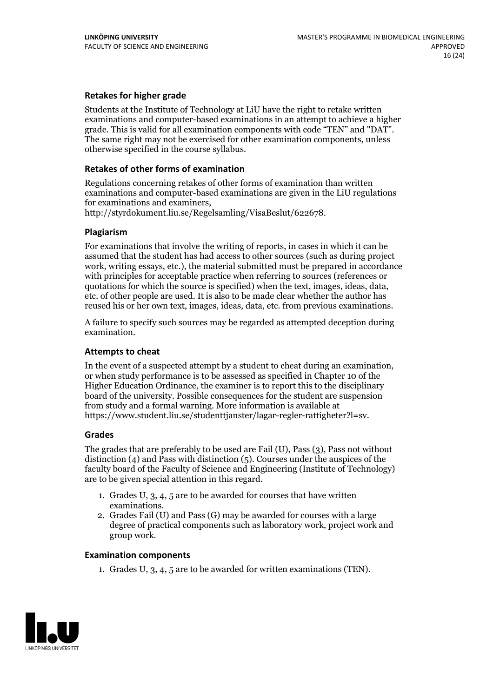### **Retakes for higher grade**

Students at the Institute of Technology at LiU have the right to retake written examinations and computer-based examinations in an attempt to achieve a higher grade. This is valid for all examination components with code "TEN" and "DAT". The same right may not be exercised for other examination components, unless otherwise specified in the course syllabus.

### **Retakes of other forms of examination**

Regulations concerning retakes of other forms of examination than written examinations and computer-based examinations are given in the LiU regulations

http://styrdokument.liu.se/Regelsamling/VisaBeslut/622678.

#### **Plagiarism**

For examinations that involve the writing of reports, in cases in which it can be assumed that the student has had access to other sources (such as during project work, writing essays, etc.), the material submitted must be prepared in accordance with principles for acceptable practice when referring to sources (references or quotations for which the source is specified) when the text, images, ideas, data, etc. of other people are used. It is also to be made clear whether the author has reused his or her own text, images, ideas, data, etc. from previous examinations.

A failure to specify such sources may be regarded as attempted deception during examination.

#### **Attempts to cheat**

In the event of <sup>a</sup> suspected attempt by <sup>a</sup> student to cheat during an examination, or when study performance is to be assessed as specified in Chapter <sup>10</sup> of the Higher Education Ordinance, the examiner is to report this to the disciplinary board of the university. Possible consequences for the student are suspension from study and a formal warning. More information is available at https://www.student.liu.se/studenttjanster/lagar-regler-rattigheter?l=sv.

#### **Grades**

The grades that are preferably to be used are Fail (U), Pass (3), Pass not without distinction  $(4)$  and Pass with distinction  $(5)$ . Courses under the auspices of the faculty board of the Faculty of Science and Engineering (Institute of Technology) are to be given special attention in this regard.

- 1. Grades U, 3, 4, 5 are to be awarded for courses that have written examinations. 2. Grades Fail (U) and Pass (G) may be awarded for courses with <sup>a</sup> large
- degree of practical components such as laboratory work, project work and group work.

#### **Examination components**

1. Grades U, 3, 4, 5 are to be awarded for written examinations (TEN).

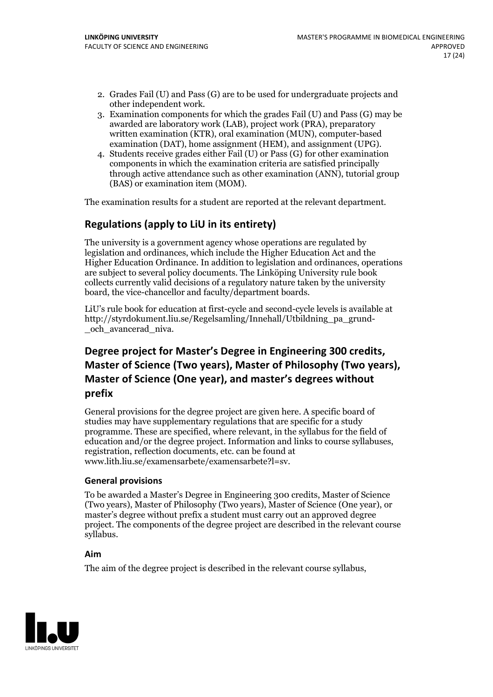- 2. Grades Fail (U) and Pass (G) are to be used for undergraduate projects and
- other independent work. 3. Examination components for which the grades Fail (U) and Pass (G) may be awarded are laboratory work (LAB), project work (PRA), preparatory written examination (KTR), oral examination (MUN), computer-based examination (DAT), home assignment (HEM), and assignment (UPG). 4. Students receive grades either Fail (U) or Pass (G) for other examination
- components in which the examination criteria are satisfied principally through active attendance such as other examination (ANN), tutorial group (BAS) or examination item (MOM).

The examination results for a student are reported at the relevant department.

## **Regulations (applyto LiU in its entirety)**

The university is a government agency whose operations are regulated by legislation and ordinances, which include the Higher Education Act and the Higher Education Ordinance. In addition to legislation and ordinances, operations are subject to several policy documents. The Linköping University rule book collects currently valid decisions of a regulatory nature taken by the university board, the vice-chancellor and faculty/department boards.

LiU's rule book for education at first-cycle and second-cycle levels is available at http://styrdokument.liu.se/Regelsamling/Innehall/Utbildning\_pa\_grund- \_och\_avancerad\_niva.

## **Degree project for Master's Degree in Engineering 300 credits, Master** of Science (Two years), Master of Philosophy (Two years), **Master ofScience (One year), and master's degrees without prefix**

General provisions for the degree project are given here. A specific board of studies may have supplementary regulations that are specific for a study programme. These are specified, where relevant, in the syllabus for the field of education and/or the degree project. Information and links to course syllabuses, registration, reflection documents, etc. can be found at www.lith.liu.se/examensarbete/examensarbete?l=sv.

### **General provisions**

To be awarded a Master's Degree in Engineering 300 credits, Master of Science (Two years), Master of Philosophy (Two years), Master of Science (One year), or master's degree without prefix a student must carry out an approved degree project. The components of the degree project are described in the relevant course syllabus.

### **Aim**

The aim of the degree project is described in the relevant course syllabus,

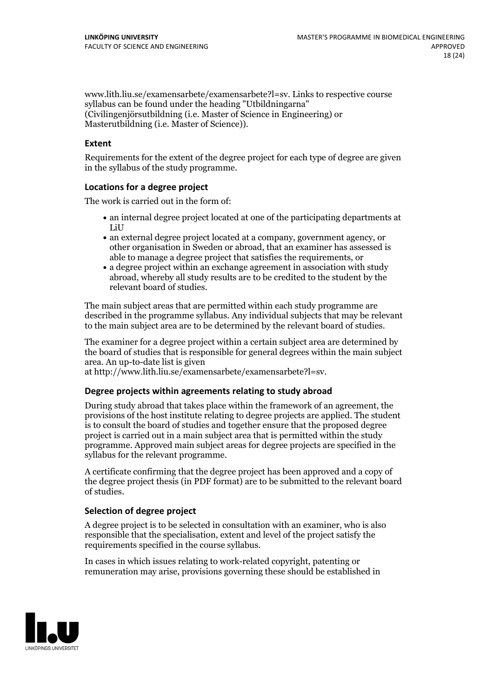www.lith.liu.se/examensarbete/examensarbete?l=sv. Links to respective course syllabus can be found under the heading "Utbildningarna" (Civilingenjörsutbildning (i.e. Master of Science in Engineering) or Masterutbildning (i.e. Master of Science)).

### **Extent**

Requirements for the extent of the degree project for each type of degree are given in the syllabus of the study programme.

### **Locations for a degree project**

The work is carried out in the form of:

- an internal degree project located at one of the participating departments at LiU
- an external degree project located at a company, government agency, or other organisation in Sweden or abroad, that an examiner has assessed is able to manage a degree project that satisfies the requirements, or
- a degree project within an exchange agreement in association with study abroad, whereby all study results are to be credited to the student by the relevant board of studies.

The main subject areas that are permitted within each study programme are described in the programme syllabus. Any individual subjects that may be relevant to the main subject area are to be determined by the relevant board of studies.

The examiner for a degree project within a certain subject area are determined by the board of studies that is responsible for general degrees within the main subject area. An up-to-date list is given

at http://www.lith.liu.se/examensarbete/examensarbete?l=sv.

### **Degree projects within agreements relatingto study abroad**

During study abroad that takes place within the framework of an agreement, the provisions of the host institute relating to degree projects are applied. The student is to consult the board of studies and together ensure that the proposed degree project is carried out in a main subject area that is permitted within the study programme. Approved main subject areas for degree projects are specified in the syllabus for the relevant programme.

A certificate confirming that the degree project has been approved and a copy of the degree project thesis (in PDF format) are to be submitted to the relevant board of studies.

#### **Selection of degree project**

A degree project is to be selected in consultation with an examiner, who is also responsible that the specialisation, extent and level of the project satisfy the requirements specified in the course syllabus.

In cases in which issues relating to work-related copyright, patenting or remuneration may arise, provisions governing these should be established in

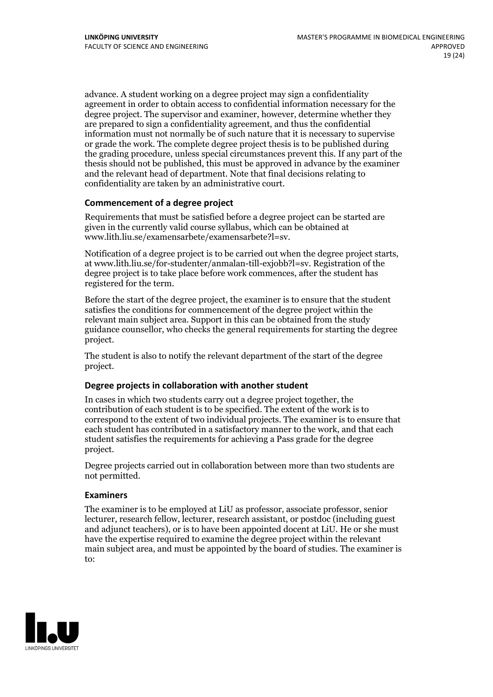advance. A student working on a degree project may sign a confidentiality agreement in order to obtain access to confidential information necessary for the degree project. The supervisor and examiner, however, determine whether they are prepared to sign a confidentiality agreement, and thus the confidential information must not normally be of such nature that it is necessary to supervise or grade the work. The complete degree project thesis is to be published during the grading procedure, unless special circumstances prevent this. If any part of the thesis should not be published, this must be approved in advance by the examiner and the relevant head of department. Note that final decisions relating to confidentiality are taken by an administrative court.

### **Commencement of a degree project**

Requirements that must be satisfied before a degree project can be started are given in the currently valid course syllabus, which can be obtained at www.lith.liu.se/examensarbete/examensarbete?l=sv.

Notification of <sup>a</sup> degree project is to be carried outwhen the degree project starts, at www.lith.liu.se/for-studenter/anmalan-till-exjobb?l=sv. Registration of the degree project is to take place before work commences, after the student has registered for the term.

Before the start of the degree project, the examiner is to ensure that the student satisfies the conditions for commencement of the degree project within the relevant main subject area. Support in this can be obtained from the study guidance counsellor, who checks the general requirements for starting the degree project.

The student is also to notify the relevant department of the start of the degree project.

### **Degree projects in collaboration with another student**

In cases in which two students carry out a degree project together, the contribution of each student is to be specified. The extent of the work is to correspond to the extent of two individual projects. The examiner is to ensure that each student has contributed in a satisfactory manner to the work, and that each student satisfies the requirements for achieving a Pass grade for the degree project.

Degree projects carried out in collaboration between more than two students are not permitted.

### **Examiners**

The examiner is to be employed at LiU as professor, associate professor, senior lecturer, research fellow, lecturer, research assistant, or postdoc (including guest and adjunct teachers), or is to have been appointed docent at LiU. He or she must have the expertise required to examine the degree project within the relevant main subject area, and must be appointed by the board of studies. The examiner is to:

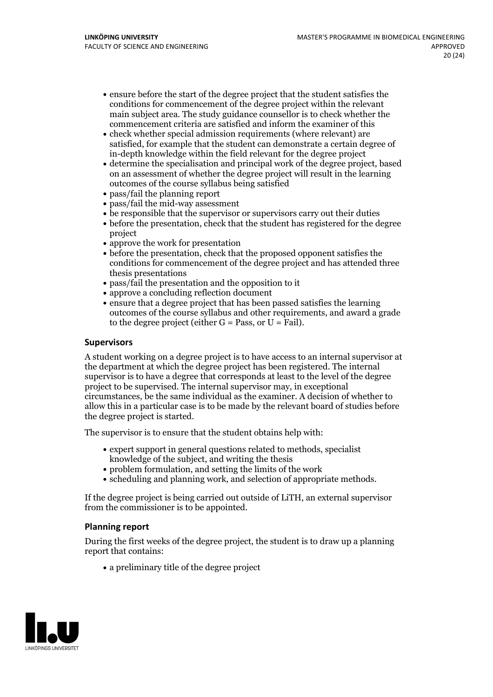- ensure before the start of the degree project that the student satisfies the conditions for commencement of the degree project within the relevant main subject area. The study guidance counsellor is to check whether the commencement criteria are satisfied and inform the examiner of this
- check whether special admission requirements (where relevant) are satisfied, for example that the student can demonstrate a certain degree of in-depth knowledge within the field relevant for the degree project
- determine the specialisation and principal work of the degree project, based on an assessment of whether the degree project will result in the learning outcomes of the course syllabus being satisfied
- pass/fail the planning report
- pass/fail the mid-way assessment
- be responsible that the supervisor or supervisors carry out their duties
- before the presentation, check that the student has registered for the degree project
- approve the work for presentation
- before the presentation, check that the proposed opponent satisfies the conditions for commencement of the degree project and has attended three thesis presentations
- pass/fail the presentation and the opposition to it
- approve a concluding reflection document
- ensure that a degree project that has been passed satisfies the learning outcomes of the course syllabus and other requirements, and award a grade to the degree project (either  $G = Pass$ , or  $U = Fail$ ).

### **Supervisors**

A student working on a degree project is to have access to an internal supervisor at the department at which the degree project has been registered. The internal supervisor is to have a degree that corresponds at least to the level of the degree project to be supervised. The internal supervisor may, in exceptional circumstances, be the same individual as the examiner. A decision of whether to allow this in a particular case is to be made by the relevant board of studies before the degree project is started.

The supervisor is to ensure that the student obtains help with:

- expert support in general questions related to methods, specialist knowledge of the subject, and writing the thesis
- problem formulation, and setting the limits of the work
- scheduling and planning work, and selection of appropriate methods.

If the degree project is being carried out outside of LiTH, an external supervisor from the commissioner is to be appointed.

### **Planning report**

During the first weeks of the degree project, the student is to draw up a planning report that contains:

 $\bullet$  a preliminary title of the degree project

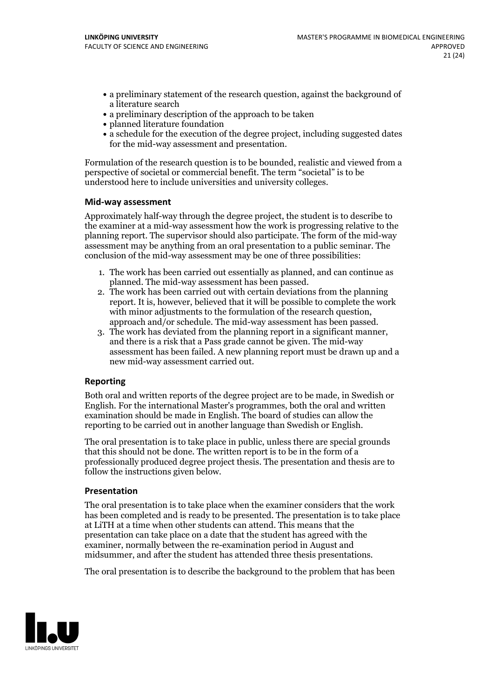- a preliminary statement of the research question, against the background of a literature search
- a preliminary description of the approach to be taken
- planned literature foundation
- a schedule for the execution of the degree project, including suggested dates for the mid-way assessment and presentation.

Formulation of the research question is to be bounded, realistic and viewed from a perspective of societal or commercial benefit. The term "societal" is to be understood here to include universities and university colleges.

### **Mid-way assessment**

Approximately half-way through the degree project, the student is to describe to the examiner at a mid-way assessment how the work is progressing relative to the planning report. The supervisor should also participate. The form of the mid-way assessment may be anything from an oral presentation to a public seminar. The conclusion of the mid-way assessment may be one of three possibilities:

- 1. The work has been carried out essentially as planned, and can continue as
- planned. The mid-way assessment has been passed. 2. The work has been carried outwith certain deviations from the planning report. It is, however, believed that it will be possible to complete the work
- approach and/or schedule. The mid-way assessment has been passed.<br>3. The work has deviated from the planning report in a significant manner, and there is a risk that a Pass grade cannot be given. The mid-way assessment has been failed. A new planning report must be drawn up and a new mid-way assessment carried out.

### **Reporting**

Both oral and written reports of the degree project are to be made, in Swedish or English. For the international Master's programmes, both the oral and written examination should be made in English. The board of studies can allow the reporting to be carried out in another language than Swedish or English.

The oral presentation is to take place in public, unless there are special grounds that this should not be done. The written report is to be in the form of a professionally produced degree project thesis. The presentation and thesis are to follow the instructions given below.

### **Presentation**

The oral presentation is to take place when the examiner considers that the work has been completed and is ready to be presented. The presentation is to take place at LiTH at a time when other students can attend. This means that the presentation can take place on a date that the student has agreed with the examiner, normally between the re-examination period in August and midsummer, and after the student has attended three thesis presentations.

The oral presentation is to describe the background to the problem that has been

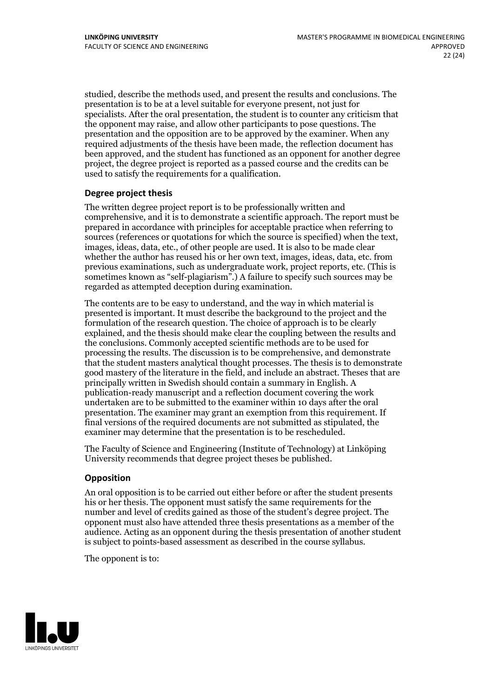studied, describe the methods used, and present the results and conclusions. The presentation is to be at a level suitable for everyone present, not just for specialists. After the oral presentation, the student is to counter any criticism that the opponent may raise, and allow other participants to pose questions. The presentation and the opposition are to be approved by the examiner. When any required adjustments of the thesis have been made, the reflection document has been approved, and the student has functioned as an opponent for another degree project, the degree project is reported as a passed course and the credits can be used to satisfy the requirements for a qualification.

### **Degree project thesis**

The written degree project report is to be professionally written and comprehensive, and it is to demonstrate a scientific approach. The report must be prepared in accordance with principles for acceptable practice when referring to sources (references or quotations for which the source is specified) when the text, images, ideas, data, etc., of other people are used. It is also to be made clear whether the author has reused his or her own text, images, ideas, data, etc. from previous examinations, such asundergraduate work, project reports, etc. (This is sometimes known as"self-plagiarism".) A failure to specify such sources may be regarded as attempted deception during examination.

The contents are to be easy to understand, and the way in which material is presented is important. It must describe the background to the project and the formulation of the research question. The choice of approach is to be clearly explained, and the thesis should make clear the coupling between the results and the conclusions. Commonly accepted scientific methods are to be used for processing the results. The discussion is to be comprehensive, and demonstrate that the student masters analytical thought processes. The thesis is to demonstrate good mastery of the literature in the field, and include an abstract. Theses that are principally written in Swedish should contain a summary in English. A publication-ready manuscript and a reflection document covering the work undertaken are to be submitted to the examiner within 10 days after the oral presentation. The examiner may grant an exemption from this requirement. If final versions of the required documents are not submitted as stipulated, the examiner may determine that the presentation is to be rescheduled.

The Faculty of Science and Engineering (Institute of Technology) at Linköping University recommends that degree project theses be published.

### **Opposition**

An oral opposition is to be carried out either before or after the student presents his or her thesis. The opponent must satisfy the same requirements for the number and level of credits gained as those of the student's degree project. The opponent must also have attended three thesis presentations as a member of the audience. Acting as an opponent during the thesis presentation of another student is subject to points-based assessment as described in the course syllabus.

The opponent is to:

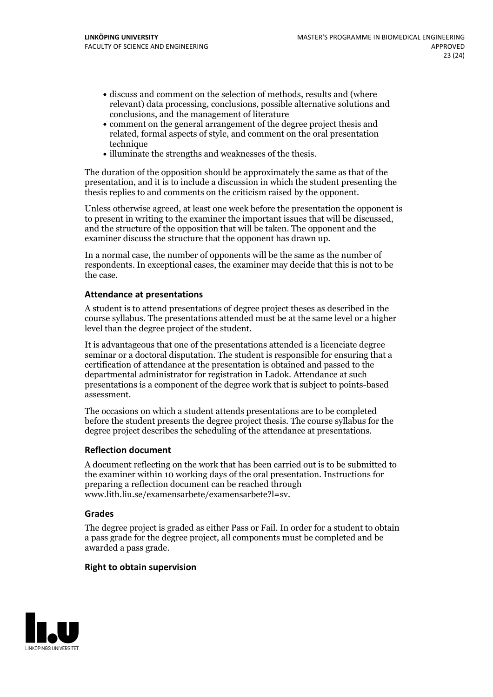- discuss and comment on the selection of methods, results and (where relevant) data processing, conclusions, possible alternative solutions and conclusions, and the management of literature
- comment on the general arrangement of the degree project thesis and related, formal aspects of style, and comment on the oral presentation technique
- illuminate the strengths and weaknesses of the thesis.

The duration of the opposition should be approximately the same as that of the presentation, and it is to include a discussion in which the student presenting the thesis replies to and comments on the criticism raised by the opponent.

Unless otherwise agreed, at least one week before the presentation the opponent is to present in writing to the examiner the important issues that will be discussed, and the structure ofthe opposition that will be taken. The opponent and the examiner discuss the structure that the opponent has drawn up.

In a normal case, the number of opponents will be the same as the number of respondents. In exceptional cases, the examiner may decide that this is not to be the case.

### **Attendance at presentations**

A student is to attend presentations of degree project theses as described in the course syllabus. The presentations attended must be at the same level or a higher level than the degree project of the student.

It is advantageous that one of the presentations attended is a licenciate degree seminar or a doctoral disputation. The student is responsible for ensuring that a certification of attendance at the presentation is obtained and passed to the departmental administrator for registration in Ladok. Attendance at such presentations is a component of the degree work that is subject to points-based assessment.

The occasions on which a student attends presentations are to be completed before the student presents the degree project thesis. The course syllabus for the degree project describes the scheduling of the attendance at presentations.

### **Reflection document**

A document reflecting on the work that has been carried outis to be submitted to the examiner within 10 working days of the oral presentation. Instructions for preparing a reflection document can be reached through www.lith.liu.se/examensarbete/examensarbete?l=sv.

#### **Grades**

The degree project is graded as either Pass or Fail. In order for a student to obtain a pass grade for the degree project, all components must be completed and be awarded a pass grade.

### **Right to obtain supervision**